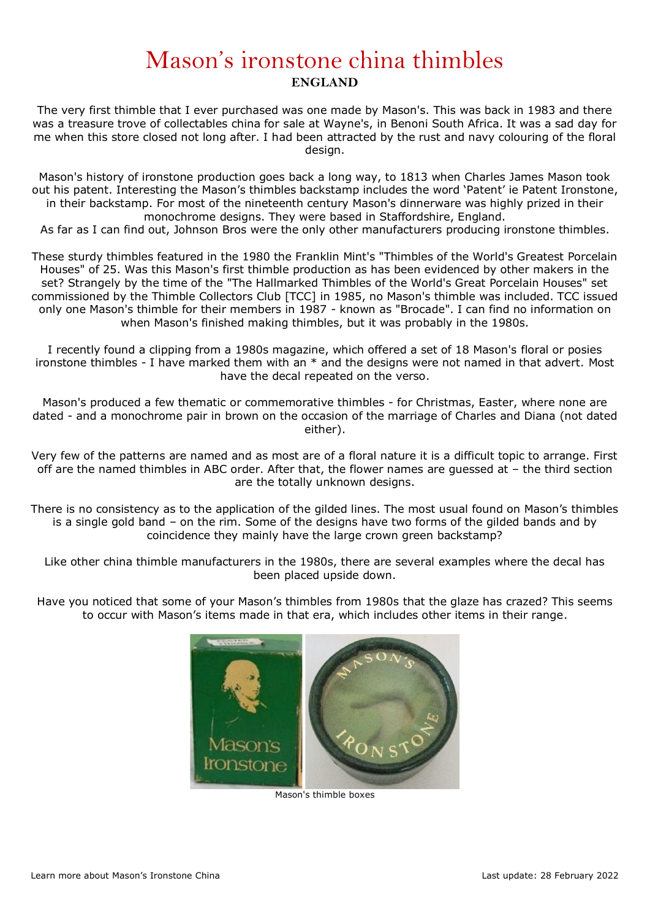## Mason's ironstone china thimbles **ENGLAND**

The very first thimble that I ever purchased was one made by Mason's. This was back in 1983 and there was a treasure trove of collectables china for sale at Wayne's, in Benoni South Africa. It was a sad day for me when this store closed not long after. I had been attracted by the rust and navy colouring of the floral design.

Mason's history of ironstone production goes back a long way, to 1813 when Charles James Mason took out his patent. Interesting the Mason's thimbles backstamp includes the word 'Patent' ie Patent Ironstone, in their backstamp. For most of the nineteenth century Mason's dinnerware was highly prized in their monochrome designs. They were based in Staffordshire, England.

As far as I can find out, Johnson Bros were the only other manufacturers producing ironstone thimbles.

These sturdy thimbles featured in the 1980 the Franklin Mint's "Thimbles of the World's Greatest Porcelain Houses" of 25. Was this Mason's first thimble production as has been evidenced by other makers in the set? Strangely by the time of the "The Hallmarked Thimbles of the World's Great Porcelain Houses" set commissioned by the Thimble Collectors Club [TCC] in 1985, no Mason's thimble was included. TCC issued only one Mason's thimble for their members in 1987 - known as "Brocade". I can find no information on when Mason's finished making thimbles, but it was probably in the 1980s.

I recently found a clipping from a 1980s magazine, which offered a set of 18 Mason's floral or posies ironstone thimbles - I have marked them with an \* and the designs were not named in that advert. Most have the decal repeated on the verso.

Mason's produced a few thematic or commemorative thimbles - for Christmas, Easter, where none are dated - and a monochrome pair in brown on the occasion of the marriage of Charles and Diana (not dated either).

Very few of the patterns are named and as most are of a floral nature it is a difficult topic to arrange. First off are the named thimbles in ABC order. After that, the flower names are guessed at – the third section are the totally unknown designs.

There is no consistency as to the application of the gilded lines. The most usual found on Mason's thimbles is a single gold band – on the rim. Some of the designs have two forms of the gilded bands and by coincidence they mainly have the large crown green backstamp?

Like other china thimble manufacturers in the 1980s, there are several examples where the decal has been placed upside down.

Have you noticed that some of your Mason's thimbles from 1980s that the glaze has crazed? This seems to occur with Mason's items made in that era, which includes other items in their range.



Mason's thimble boxes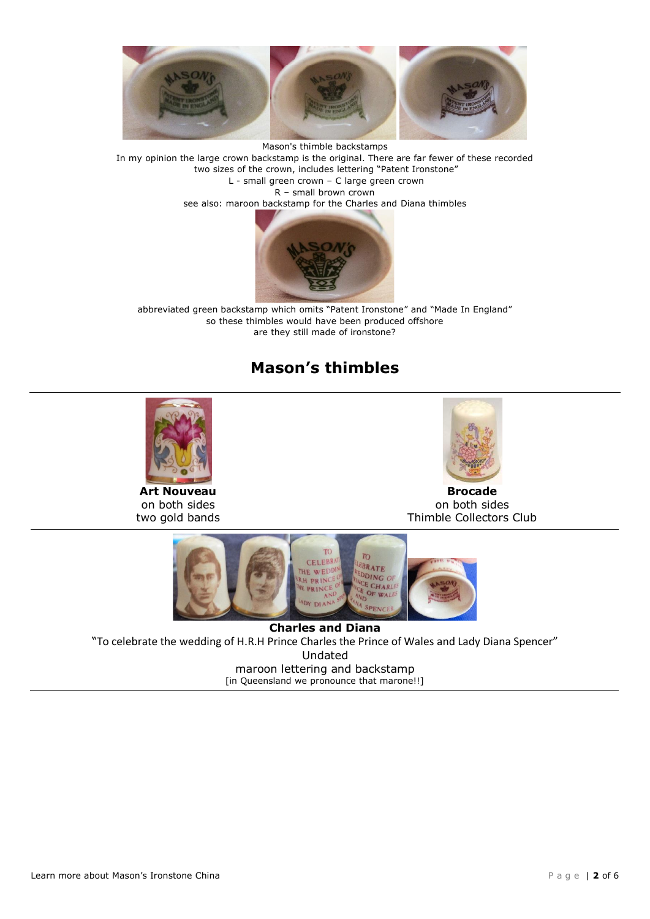

Mason's thimble backstamps In my opinion the large crown backstamp is the original. There are far fewer of these recorded two sizes of the crown, includes lettering "Patent Ironstone" L - small green crown – C large green crown R – small brown crown see also: maroon backstamp for the Charles and Diana thimbles



abbreviated green backstamp which omits "Patent Ironstone" and "Made In England" so these thimbles would have been produced offshore are they still made of ironstone?

## **Mason's thimbles**



**Art Nouveau** on both sides two gold bands



**Brocade** on both sides Thimble Collectors Club



**Charles and Diana** "To celebrate the wedding of H.R.H Prince Charles the Prince of Wales and Lady Diana Spencer" Undated maroon lettering and backstamp [in Queensland we pronounce that marone!!]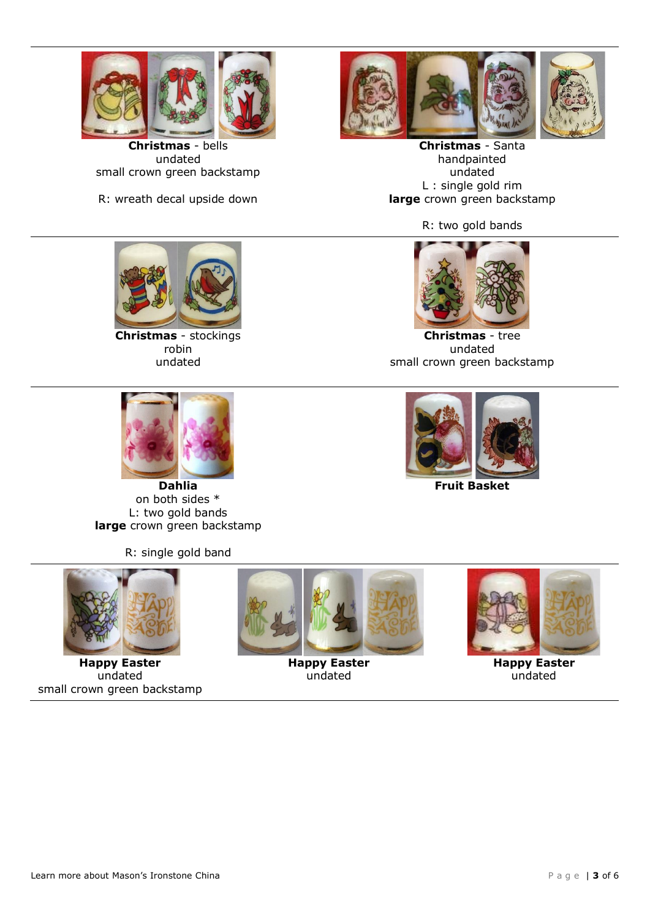

**Christmas** - bells undated small crown green backstamp

R: wreath decal upside down



**Christmas** - Santa handpainted undated L : single gold rim **large** crown green backstamp

R: two gold bands

**Christmas** - tree undated small crown green backstamp

**Fruit Basket**



**Christmas** - stockings robin undated



**Dahlia** on both sides \* L: two gold bands **large** crown green backstamp

R: single gold band



**Happy Easter** undated small crown green backstamp



**Happy Easter** undated



**Happy Easter** undated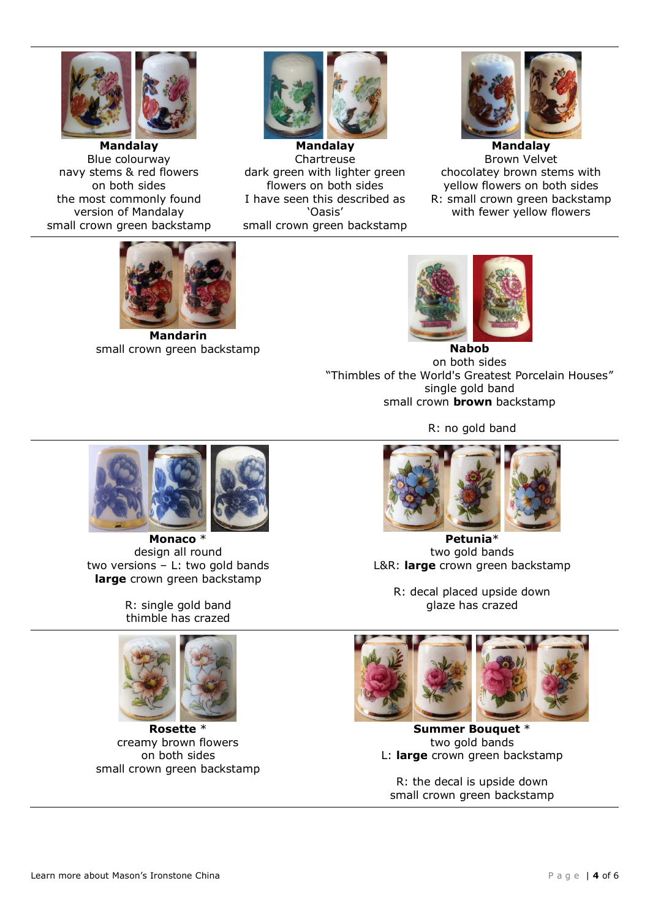

**Mandalay** Blue colourway navy stems & red flowers on both sides the most commonly found version of Mandalay small crown green backstamp



**Mandalay** Chartreuse dark green with lighter green flowers on both sides I have seen this described as 'Oasis' small crown green backstamp



**Mandalay** Brown Velvet chocolatey brown stems with yellow flowers on both sides R: small crown green backstamp with fewer yellow flowers



**Mandarin** small crown green backstamp **Nabob Nabob** 



on both sides "Thimbles of the World's Greatest Porcelain Houses" single gold band small crown **brown** backstamp

R: no gold band



**Petunia**\* two gold bands L&R: **large** crown green backstamp

R: decal placed upside down glaze has crazed



**Summer Bouquet** \* two gold bands L: **large** crown green backstamp

R: the decal is upside down small crown green backstamp



**Monaco** \* design all round two versions – L: two gold bands **large** crown green backstamp

R: single gold band thimble has crazed



**Rosette** \* creamy brown flowers on both sides small crown green backstamp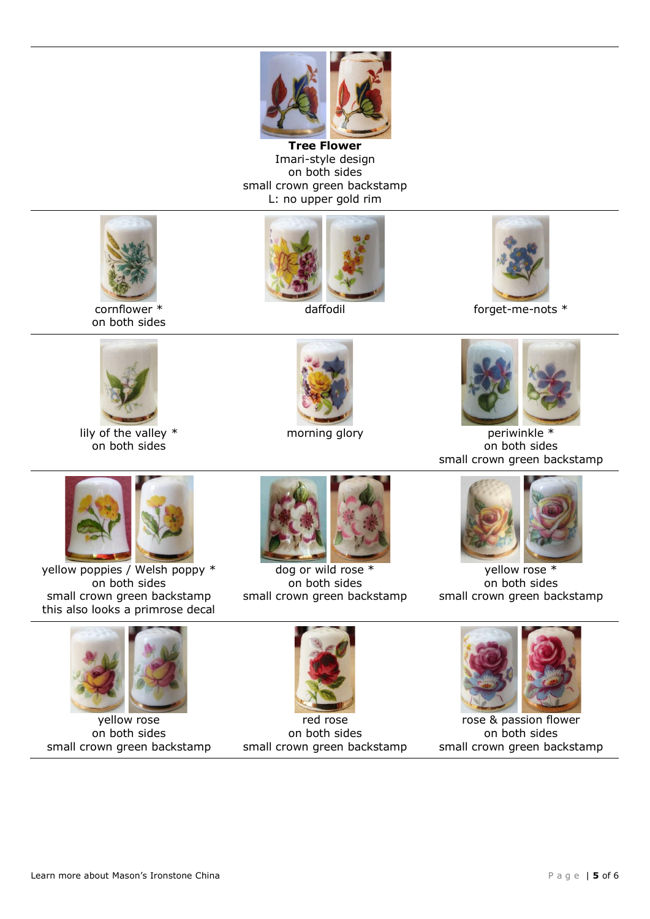

**Tree Flower** Imari-style design on both sides small crown green backstamp L: no upper gold rim





daffodil daffodil forget-me-nots  $*$ 



lily of the valley \* on both sides





morning glory example the periwinkle  $*$ on both sides small crown green backstamp



yellow poppies / Welsh poppy \* on both sides small crown green backstamp this also looks a primrose decal



dog or wild rose \* on both sides small crown green backstamp



yellow rose \* on both sides small crown green backstamp



yellow rose on both sides small crown green backstamp



red rose on both sides small crown green backstamp



rose & passion flower on both sides small crown green backstamp